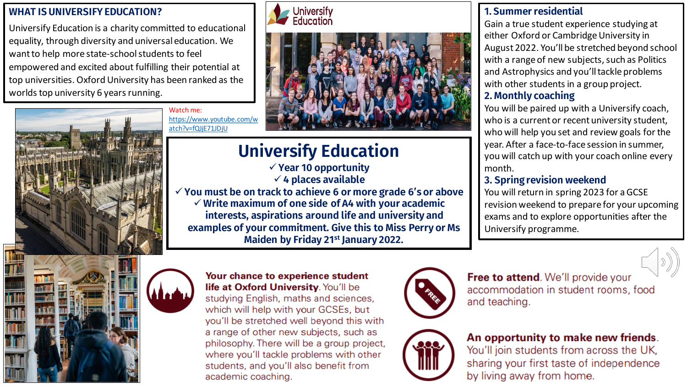#### **WHAT IS UNIVERSIFY EDUCATION?**

Universify Education is a charity committed to educational equality, through diversity and universal education. We want to help more state-school students to feel empowered and excited about fulfilling their potential at top universities. Oxford University has been ranked as the worlds top university 6 years running.





# **Universify Education**

✓ **Year 10 opportunity** ✓ **4 places available**  ✓ **You must be on track to achieve 6 or more grade 6's or above** ✓ **Write maximum of one side of A4 with your academic interests, aspirations around life and university and examples of your commitment. Give this to Miss Perry or Ms Maiden by Friday 21st January 2022.** 

#### **1. Summer residential**

Gain a true student experience studying at either Oxford or Cambridge University in August 2022. You'll be stretched beyond school with a range of new subjects, such as Politics and Astrophysics and you'll tackle problems with other students in a group project.

#### **2. Monthly coaching**

You will be paired up with a Universify coach, who is a current or recent university student, who will help you set and review goals for the year. After a face-to-face session in summer, you will catch up with your coach online every month.

#### **3. Spring revision weekend**

You will return in spring 2023 for a GCSE revision weekend to prepare for your upcoming exams and to explore opportunities after the Universify programme.





Watch me:

atch?v=fQJjE71JDjU

[https://www.youtube.com/w](https://www.youtube.com/watch?v=fQJjE71JDjU)

#### Your chance to experience student life at Oxford University. You'll be studying English, maths and sciences, which will help with your GCSEs, but you'll be stretched well beyond this with a range of other new subjects, such as philosophy. There will be a group project,

where you'll tackle problems with other students, and you'll also benefit from academic coaching.



Free to attend. We'll provide your accommodation in student rooms, food and teaching.



### An opportunity to make new friends.

You'll join students from across the UK, sharing your first taste of independence by living away from home.